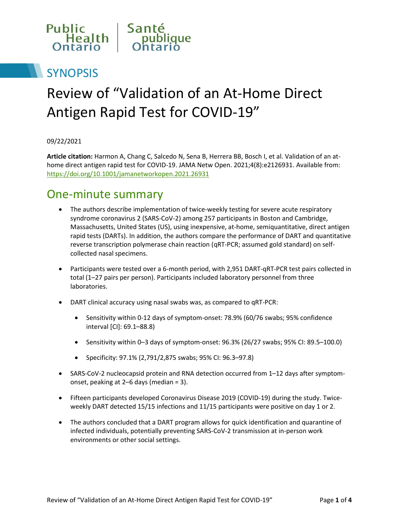

# **SYNOPSIS**

# Review of "Validation of an At-Home Direct Antigen Rapid Test for COVID-19"

09/22/2021

**Article citation:** Harmon A, Chang C, Salcedo N, Sena B, Herrera BB, Bosch I, et al. Validation of an athome direct antigen rapid test for COVID-19. JAMA Netw Open. 2021;4(8):e2126931. Available from: https://doi.org/10.1001/jamanetworkopen.2021.26931

#### One-minute summary

- The authors describe implementation of twice-weekly testing for severe acute respiratory syndrome coronavirus 2 (SARS-CoV-2) among 257 participants in Boston and Cambridge, Massachusetts, United States (US), using inexpensive, at-home, semiquantitative, direct antigen rapid tests (DARTs). In addition, the authors compare the performance of DART and quantitative reverse transcription polymerase chain reaction (qRT-PCR; assumed gold standard) on selfcollected nasal specimens.
- Participants were tested over a 6-month period, with 2,951 DART-qRT-PCR test pairs collected in total (1–27 pairs per person). Participants included laboratory personnel from three laboratories.
- DART clinical accuracy using nasal swabs was, as compared to qRT-PCR:
	- Sensitivity within 0-12 days of symptom-onset: 78.9% (60/76 swabs; 95% confidence interval [CI]: 69.1–88.8)
	- $\bullet$  Sensitivity within 0–3 days of symptom-onset: 96.3% (26/27 swabs; 95% CI: 89.5–100.0)
	- Specificity: 97.1% (2,791/2,875 swabs; 95% CI: 96.3–97.8)
- SARS-CoV-2 nucleocapsid protein and RNA detection occurred from 1–12 days after symptomonset, peaking at 2–6 days (median = 3).
- Fifteen participants developed Coronavirus Disease 2019 (COVID-19) during the study. Twiceweekly DART detected 15/15 infections and 11/15 participants were positive on day 1 or 2.
- The authors concluded that a DART program allows for quick identification and quarantine of infected individuals, potentially preventing SARS-CoV-2 transmission at in-person work environments or other social settings.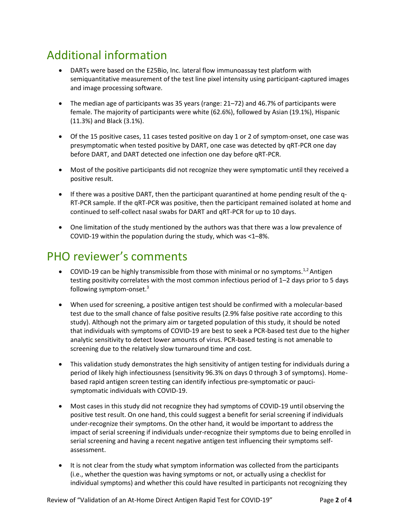# Additional information

- DARTs were based on the E25Bio, Inc. lateral flow immunoassay test platform with semiquantitative measurement of the test line pixel intensity using participant-captured images and image processing software.
- The median age of participants was 35 years (range: 21–72) and 46.7% of participants were female. The majority of participants were white (62.6%), followed by Asian (19.1%), Hispanic (11.3%) and Black (3.1%).
- Of the 15 positive cases, 11 cases tested positive on day 1 or 2 of symptom-onset, one case was presymptomatic when tested positive by DART, one case was detected by qRT-PCR one day before DART, and DART detected one infection one day before qRT-PCR.
- Most of the positive participants did not recognize they were symptomatic until they received a positive result.
- If there was a positive DART, then the participant quarantined at home pending result of the q-RT-PCR sample. If the qRT-PCR was positive, then the participant remained isolated at home and continued to self-collect nasal swabs for DART and qRT-PCR for up to 10 days.
- One limitation of the study mentioned by the authors was that there was a low prevalence of COVID-19 within the population during the study, which was <1–8%.

## PHO reviewer's comments

- $\bullet$  COVID-19 can be highly transmissible from those with minimal or no symptoms.<sup>1,2</sup> Antigen testing positivity correlates with the most common infectious period of 1–2 days prior to 5 days following symptom-onset.<sup>3</sup>
- When used for screening, a positive antigen test should be confirmed with a molecular-based test due to the small chance of false positive results (2.9% false positive rate according to this study). Although not the primary aim or targeted population of this study, it should be noted that individuals with symptoms of COVID-19 are best to seek a PCR-based test due to the higher analytic sensitivity to detect lower amounts of virus. PCR-based testing is not amenable to screening due to the relatively slow turnaround time and cost.
- This validation study demonstrates the high sensitivity of antigen testing for individuals during a period of likely high infectiousness (sensitivity 96.3% on days 0 through 3 of symptoms). Homebased rapid antigen screen testing can identify infectious pre-symptomatic or paucisymptomatic individuals with COVID-19.
- Most cases in this study did not recognize they had symptoms of COVID-19 until observing the positive test result. On one hand, this could suggest a benefit for serial screening if individuals under-recognize their symptoms. On the other hand, it would be important to address the impact of serial screening if individuals under-recognize their symptoms due to being enrolled in serial screening and having a recent negative antigen test influencing their symptoms selfassessment.
- It is not clear from the study what symptom information was collected from the participants (i.e., whether the question was having symptoms or not, or actually using a checklist for individual symptoms) and whether this could have resulted in participants not recognizing they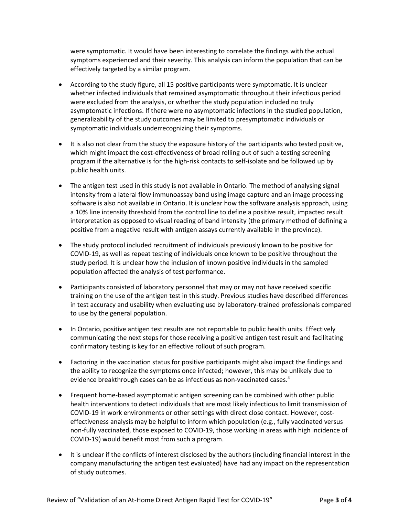were symptomatic. It would have been interesting to correlate the findings with the actual symptoms experienced and their severity. This analysis can inform the population that can be effectively targeted by a similar program.

- According to the study figure, all 15 positive participants were symptomatic. It is unclear whether infected individuals that remained asymptomatic throughout their infectious period were excluded from the analysis, or whether the study population included no truly asymptomatic infections. If there were no asymptomatic infections in the studied population, generalizability of the study outcomes may be limited to presymptomatic individuals or symptomatic individuals underrecognizing their symptoms.
- It is also not clear from the study the exposure history of the participants who tested positive, which might impact the cost-effectiveness of broad rolling out of such a testing screening program if the alternative is for the high-risk contacts to self-isolate and be followed up by public health units.
- The antigen test used in this study is not available in Ontario. The method of analysing signal intensity from a lateral flow immunoassay band using image capture and an image processing software is also not available in Ontario. It is unclear how the software analysis approach, using a 10% line intensity threshold from the control line to define a positive result, impacted result interpretation as opposed to visual reading of band intensity (the primary method of defining a positive from a negative result with antigen assays currently available in the province).
- The study protocol included recruitment of individuals previously known to be positive for COVID-19, as well as repeat testing of individuals once known to be positive throughout the study period. It is unclear how the inclusion of known positive individuals in the sampled population affected the analysis of test performance.
- Participants consisted of laboratory personnel that may or may not have received specific training on the use of the antigen test in this study. Previous studies have described differences in test accuracy and usability when evaluating use by laboratory-trained professionals compared to use by the general population.
- In Ontario, positive antigen test results are not reportable to public health units. Effectively communicating the next steps for those receiving a positive antigen test result and facilitating confirmatory testing is key for an effective rollout of such program.
- Factoring in the vaccination status for positive participants might also impact the findings and the ability to recognize the symptoms once infected; however, this may be unlikely due to evidence breakthrough cases can be as infectious as non-vaccinated cases. 4
- Frequent home-based asymptomatic antigen screening can be combined with other public health interventions to detect individuals that are most likely infectious to limit transmission of COVID-19 in work environments or other settings with direct close contact. However, costeffectiveness analysis may be helpful to inform which population (e.g., fully vaccinated versus non-fully vaccinated, those exposed to COVID-19, those working in areas with high incidence of COVID-19) would benefit most from such a program.
- It is unclear if the conflicts of interest disclosed by the authors (including financial interest in the company manufacturing the antigen test evaluated) have had any impact on the representation of study outcomes.